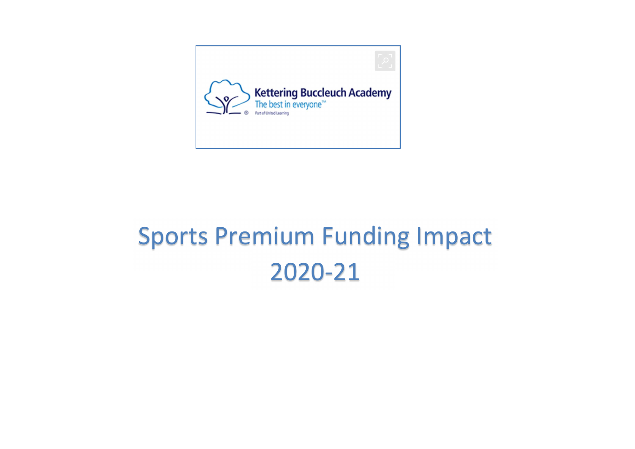

## Sports Premium Funding Impact 2020-21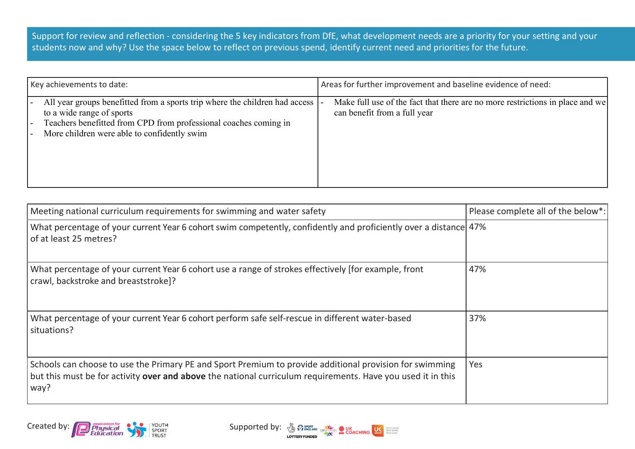Support for review and reflection - considering the 5 key indicators from DfE, what development needs are a priority for your setting and your students now and why? Use the space below to reflect on previous spend, identify current need and priorities for the future.

| Key achievements to date:                                                                                                                                                                                                   | Areas for further improvement and baseline evidence of need:                                                  |
|-----------------------------------------------------------------------------------------------------------------------------------------------------------------------------------------------------------------------------|---------------------------------------------------------------------------------------------------------------|
| All year groups benefitted from a sports trip where the children had access<br>to a wide range of sports<br>Teachers benefitted from CPD from professional coaches coming in<br>More children were able to confidently swim | Make full use of the fact that there are no more restrictions in place and we<br>can benefit from a full year |

| Meeting national curriculum requirements for swimming and water safety                                                                                                                                                         | Please complete all of the below*: |
|--------------------------------------------------------------------------------------------------------------------------------------------------------------------------------------------------------------------------------|------------------------------------|
| What percentage of your current Year 6 cohort swim competently, confidently and proficiently over a distance 47%<br>of at least 25 metres?                                                                                     |                                    |
| What percentage of your current Year 6 cohort use a range of strokes effectively [for example, front<br>crawl, backstroke and breaststroke]?                                                                                   | 47%                                |
| What percentage of your current Year 6 cohort perform safe self-rescue in different water-based<br>situations?                                                                                                                 | 37%                                |
| Schools can choose to use the Primary PE and Sport Premium to provide additional provision for swimming<br>but this must be for activity over and above the national curriculum requirements. Have you used it in this<br>way? | Yes                                |



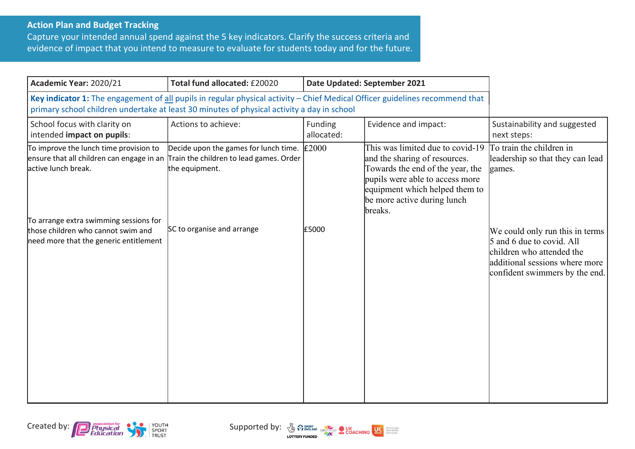## Action Plan and Budget Tracking

Capture your intended annual spend against the 5 key indicators. Clarify the success criteria and evidence of impact that you intend to measure to evaluate for students today and for the future.

| Academic Year: 2020/21                                                                                                                                                                                                     | Total fund allocated: £20020                            |                       | Date Updated: September 2021                                                                                                                                                                                         |                                                                                                                                                               |
|----------------------------------------------------------------------------------------------------------------------------------------------------------------------------------------------------------------------------|---------------------------------------------------------|-----------------------|----------------------------------------------------------------------------------------------------------------------------------------------------------------------------------------------------------------------|---------------------------------------------------------------------------------------------------------------------------------------------------------------|
| Key indicator 1: The engagement of all pupils in regular physical activity - Chief Medical Officer guidelines recommend that<br>primary school children undertake at least 30 minutes of physical activity a day in school |                                                         |                       |                                                                                                                                                                                                                      |                                                                                                                                                               |
| School focus with clarity on<br>intended impact on pupils:                                                                                                                                                                 | Actions to achieve:                                     | Funding<br>allocated: | Evidence and impact:                                                                                                                                                                                                 | Sustainability and suggested<br>next steps:                                                                                                                   |
| To improve the lunch time provision to<br>ensure that all children can engage in an Train the children to lead games. Order<br>active lunch break.                                                                         | Decide upon the games for lunch time.<br>the equipment. | E2000                 | This was limited due to covid-19<br>and the sharing of resources.<br>Towards the end of the year, the<br>pupils were able to access more<br>equipment which helped them to<br>be more active during lunch<br>breaks. | To train the children in<br>leadership so that they can lead<br>games.                                                                                        |
| To arrange extra swimming sessions for<br>those children who cannot swim and<br>need more that the generic entitlement                                                                                                     | SC to organise and arrange                              | £5000                 |                                                                                                                                                                                                                      | We could only run this in terms<br>5 and 6 due to covid. All<br>children who attended the<br>additional sessions where more<br>confident swimmers by the end. |



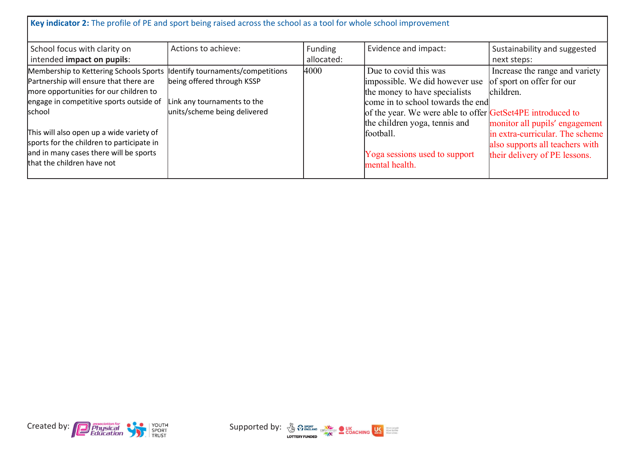| Key indicator 2: The profile of PE and sport being raised across the school as a tool for whole school improvement                                                                                                                                                                                                                               |                                                                                                                                |                       |                                                                                                                                                                                                                                                                                              |                                                                                                                                                                                                                   |
|--------------------------------------------------------------------------------------------------------------------------------------------------------------------------------------------------------------------------------------------------------------------------------------------------------------------------------------------------|--------------------------------------------------------------------------------------------------------------------------------|-----------------------|----------------------------------------------------------------------------------------------------------------------------------------------------------------------------------------------------------------------------------------------------------------------------------------------|-------------------------------------------------------------------------------------------------------------------------------------------------------------------------------------------------------------------|
| School focus with clarity on<br>intended impact on pupils:                                                                                                                                                                                                                                                                                       | Actions to achieve:                                                                                                            | Funding<br>allocated: | Evidence and impact:                                                                                                                                                                                                                                                                         | Sustainability and suggested<br>next steps:                                                                                                                                                                       |
| Membership to Kettering Schools Sports<br>Partnership will ensure that there are<br>more opportunities for our children to<br>engage in competitive sports outside of<br>school<br>This will also open up a wide variety of<br>sports for the children to participate in<br>and in many cases there will be sports<br>that the children have not | Identify tournaments/competitions<br>being offered through KSSP<br>Link any tournaments to the<br>units/scheme being delivered | 4000                  | Due to covid this was<br>impossible. We did however use<br>the money to have specialists<br>come in to school towards the end<br>of the year. We were able to offer GetSet4PE introduced to<br>the children yoga, tennis and<br>football.<br>Yoga sessions used to support<br>mental health. | Increase the range and variety<br>of sport on offer for our<br>children.<br>monitor all pupils' engagement<br>in extra-curricular. The scheme<br>also supports all teachers with<br>their delivery of PE lessons. |